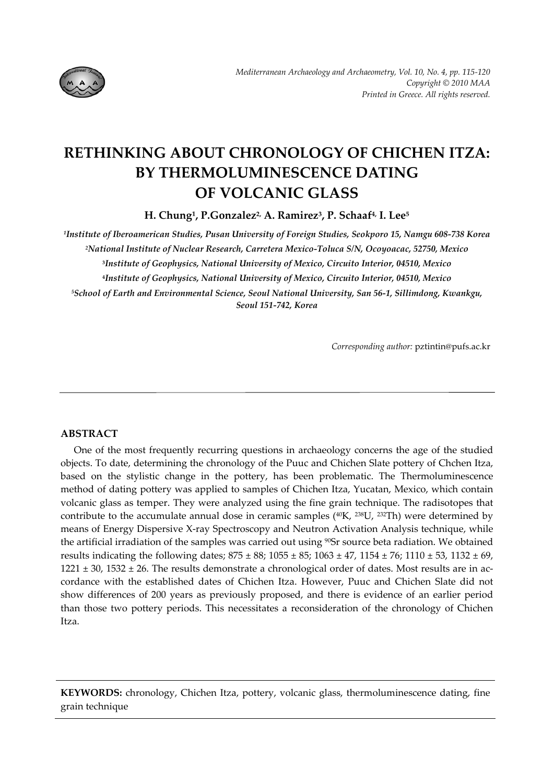

# **RETHINKING ABOUT CHRONOLOGY OF CHICHEN ITZA: BY THERMOLUMINESCENCE DATING OF VOLCANIC GLASS**

**H.** Chung<sup>1</sup>, P. Gonzalez<sup>2,</sup> A. Ramirez<sup>3</sup>, P. Schaaf<sup>4,</sup> I. Lee<sup>5</sup>

*1Institute of Iberoamerican Studies, Pusan University of Foreign Studies, Seokporo 15, Namgu 608‐738 Korea 2National Institute of Nuclear Research, Carretera Mexico‐Toluca S/N, Ocoyoacac, 52750, Mexico* **<sup>3</sup>***Institute of Geophysics, National University of Mexico, Circuito Interior, 04510, Mexico* **<sup>4</sup>***Institute of Geophysics, National University of Mexico, Circuito Interior, 04510, Mexico 5School of Earth and Environmental Science, Seoul National University, San 56‐1, Sillimdong, Kwankgu, Seoul 151‐742, Korea*

*Corresponding author:* pztintin@pufs.ac.kr

# **ABSTRACT**

One of the most frequently recurring questions in archaeology concerns the age of the studied objects. To date, determining the chronology of the Puuc and Chichen Slate pottery of Chchen Itza, based on the stylistic change in the pottery, has been problematic. The Thermoluminescence method of dating pottery was applied to samples of Chichen Itza, Yucatan, Mexico, which contain volcanic glass as temper. They were analyzed using the fine grain technique. The radisotopes that contribute to the accumulate annual dose in ceramic samples  $(^{40}K, ^{238}U, ^{232}Th)$  were determined by means of Energy Dispersive X‐ray Spectroscopy and Neutron Activation Analysis technique, while the artificial irradiation of the samples was carried out using <sup>90</sup>Sr source beta radiation. We obtained results indicating the following dates;  $875 \pm 88$ ;  $1055 \pm 85$ ;  $1063 \pm 47$ ,  $1154 \pm 76$ ;  $1110 \pm 53$ ,  $1132 \pm 69$ ,  $1221 \pm 30$ ,  $1532 \pm 26$ . The results demonstrate a chronological order of dates. Most results are in accordance with the established dates of Chichen Itza. However, Puuc and Chichen Slate did not show differences of 200 years as previously proposed, and there is evidence of an earlier period than those two pottery periods. This necessitates a reconsideration of the chronology of Chichen Itza.

**KEYWORDS:** chronology, Chichen Itza, pottery, volcanic glass, thermoluminescence dating, fine grain technique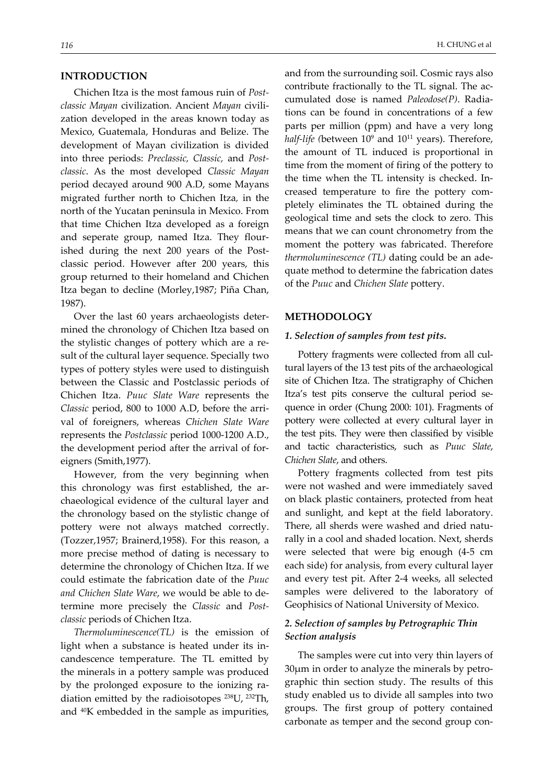## **INTRODUCTION**

Chichen Itza is the most famous ruin of *Post‐ classic Mayan* civilization. Ancient *Mayan* civili‐ zation developed in the areas known today as Mexico, Guatemala, Honduras and Belize. The development of Mayan civilization is divided into three periods: *Preclassic, Classic,* and *Post‐ classic*. As the most developed *Classic Mayan* period decayed around 900 A.D, some Mayans migrated further north to Chichen Itza*,* in the north of the Yucatan peninsula in Mexico. From that time Chichen Itza developed as a foreign and seperate group, named Itza. They flour‐ ished during the next 200 years of the Postclassic period. However after 200 years, this group returned to their homeland and Chichen Itza began to decline (Morley,1987; Piña Chan, 1987).

Over the last 60 years archaeologists deter‐ mined the chronology of Chichen Itza based on the stylistic changes of pottery which are a re‐ sult of the cultural layer sequence. Specially two types of pottery styles were used to distinguish between the Classic and Postclassic periods of Chichen Itza. *Puuc Slate Ware* represents the *Classic* period, 800 to 1000 A.D, before the arri‐ val of foreigners, whereas *Chichen Slate Ware* represents the *Postclassic* period 1000‐1200 A.D., the development period after the arrival of for‐ eigners (Smith,1977).

However, from the very beginning when this chronology was first established, the archaeological evidence of the cultural layer and the chronology based on the stylistic change of pottery were not always matched correctly. (Tozzer,1957; Brainerd,1958). For this reason, a more precise method of dating is necessary to determine the chronology of Chichen Itza. If we could estimate the fabrication date of the *Puuc and Chichen Slate Ware*, we would be able to de‐ termine more precisely the *Classic* and *Post‐ classic* periods of Chichen Itza.

*Thermoluminescence(TL)* is the emission of light when a substance is heated under its in‐ candescence temperature. The TL emitted by the minerals in a pottery sample was produced by the prolonged exposure to the ionizing ra‐ diation emitted by the radioisotopes 238U, 232Th, and 40K embedded in the sample as impurities,

and from the surrounding soil. Cosmic rays also contribute fractionally to the TL signal. The accumulated dose is named *Paleodose(P)*. Radia‐ tions can be found in concentrations of a few parts per million (ppm) and have a very long *half‐life (*between 109 and 1011 years). Therefore, the amount of TL induced is proportional in time from the moment of firing of the pottery to the time when the TL intensity is checked. In‐ creased temperature to fire the pottery com‐ pletely eliminates the TL obtained during the geological time and sets the clock to zero. This means that we can count chronometry from the moment the pottery was fabricated. Therefore *thermoluminescence (TL)* dating could be an ade‐

quate method to determine the fabrication dates

#### **METHODOLOGY**

#### *1. Selection of samples from test pits.*

of the *Puuc* and *Chichen Slate* pottery.

Pottery fragments were collected from all cul‐ tural layers of the 13 test pits of the archaeological site of Chichen Itza. The stratigraphy of Chichen Itza's test pits conserve the cultural period sequence in order (Chung 2000: 101). Fragments of pottery were collected at every cultural layer in the test pits. They were then classified by visible and tactic characteristics, such as *Puuc Slate*, *Chichen Slate*, and others.

Pottery fragments collected from test pits were not washed and were immediately saved on black plastic containers, protected from heat and sunlight, and kept at the field laboratory. There, all sherds were washed and dried natu‐ rally in a cool and shaded location. Next, sherds were selected that were big enough (4‐5 cm each side) for analysis, from every cultural layer and every test pit. After 2‐4 weeks, all selected samples were delivered to the laboratory of Geophisics of National University of Mexico.

## *2. Selection of samples by Petrographic Thin Section analysis*

The samples were cut into very thin layers of  $30\mu$ m in order to analyze the minerals by petrographic thin section study. The results of this study enabled us to divide all samples into two groups. The first group of pottery contained carbonate as temper and the second group con-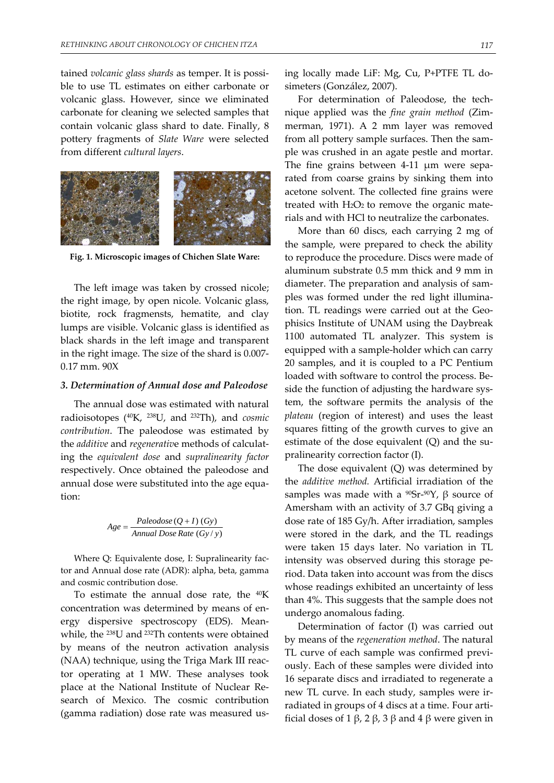tained *volcanic glass shards* as temper. It is possi‐ ble to use TL estimates on either carbonate or volcanic glass. However, since we eliminated carbonate for cleaning we selected samples that contain volcanic glass shard to date. Finally, 8 pottery fragments of *Slate Ware* were selected from different *cultural layers*.



**Fig. 1. Microscopic images of Chichen Slate Ware:**

The left image was taken by crossed nicole; the right image, by open nicole. Volcanic glass, biotite, rock fragmensts, hematite, and clay lumps are visible. Volcanic glass is identified as black shards in the left image and transparent in the right image. The size of the shard is 0.007‐ 0.17 mm. 90X

#### *3. Determination of Annual dose and Paleodose*

The annual dose was estimated with natural radioisotopes (40K, 238U, and 232Th), and *cosmic contribution*. The paleodose was estimated by the *additive* and *regenerativ*e methods of calculat‐ ing the *equivalent dose* and *supralinearity factor* respectively. Once obtained the paleodose and annual dose were substituted into the age equa‐ tion:

$$
Age = \frac{ Paleodose(Q+I) (Gy)}{Annual Bose Rate (Gy/y)}
$$

Where Q: Equivalente dose, I: Supralinearity factor and Annual dose rate (ADR): alpha, beta, gamma and cosmic contribution dose.

To estimate the annual dose rate, the  $40K$ concentration was determined by means of en‐ ergy dispersive spectroscopy (EDS). Mean‐ while, the 238U and 232Th contents were obtained by means of the neutron activation analysis (NAA) technique, using the Triga Mark III reac‐ tor operating at 1 MW. These analyses took place at the National Institute of Nuclear Re‐ search of Mexico. The cosmic contribution (gamma radiation) dose rate was measured us‐

ing locally made LiF: Mg, Cu, P+PTFE TL do‐ simeters (González, 2007).

For determination of Paleodose, the technique applied was the *fine grain method* (Zim‐ merman, 1971). A 2 mm layer was removed from all pottery sample surfaces. Then the sam‐ ple was crushed in an agate pestle and mortar. The fine grains between 4‐11 μm were sepa‐ rated from coarse grains by sinking them into acetone solvent. The collected fine grains were treated with  $H_2O_2$  to remove the organic materials and with HCl to neutralize the carbonates.

More than 60 discs, each carrying 2 mg of the sample, were prepared to check the ability to reproduce the procedure. Discs were made of aluminum substrate 0.5 mm thick and 9 mm in diameter. The preparation and analysis of sam‐ ples was formed under the red light illumina‐ tion. TL readings were carried out at the Geophisics Institute of UNAM using the Daybreak 1100 automated TL analyzer. This system is equipped with a sample‐holder which can carry 20 samples, and it is coupled to a PC Pentium loaded with software to control the process. Be‐ side the function of adjusting the hardware system, the software permits the analysis of the *plateau* (region of interest) and uses the least squares fitting of the growth curves to give an estimate of the dose equivalent  $(Q)$  and the supralinearity correction factor (I).

The dose equivalent (Q) was determined by the *additive method.* Artificial irradiation of the samples was made with a  $^{90}Sr^{-90}Y$ ,  $\beta$  source of Amersham with an activity of 3.7 GBq giving a dose rate of 185 Gy/h. After irradiation, samples were stored in the dark, and the TL readings were taken 15 days later. No variation in TL intensity was observed during this storage pe‐ riod. Data taken into account was from the discs whose readings exhibited an uncertainty of less than 4%. This suggests that the sample does not undergo anomalous fading.

Determination of factor (I) was carried out by means of the *regeneration method*. The natural TL curve of each sample was confirmed previ‐ ously. Each of these samples were divided into 16 separate discs and irradiated to regenerate a new TL curve. In each study, samples were ir‐ radiated in groups of 4 discs at a time. Four arti‐ ficial doses of 1 β, 2 β, 3 β and 4 β were given in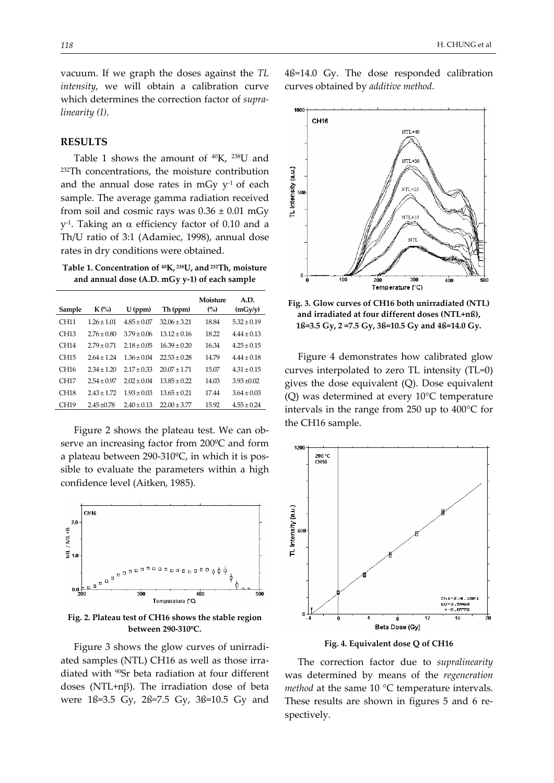vacuum. If we graph the doses against the *TL intensity*, we will obtain a calibration curve which determines the correction factor of *supra‐ linearity (I)*.

## **RESULTS**

Table 1 shows the amount of 40K, 238U and 232Th concentrations, the moisture contribution and the annual dose rates in mGy  $v<sup>-1</sup>$  of each sample. The average gamma radiation received from soil and cosmic rays was  $0.36 \pm 0.01$  mGy  $y$ <sup>1</sup>. Taking an α efficiency factor of 0.10 and a Th/U ratio of 3:1 (Adamiec, 1998), annual dose rates in dry conditions were obtained.

**Table 1. Concentration of 40K, 238U, and 232Th, moisture and annual dose (A.D. mGy y‐1) of each sample**

| Sample           | $K(\%)$         | $U$ (ppm)       | Th (ppm)         | Moisture<br>(%) | A.D.<br>(mGv/v) |
|------------------|-----------------|-----------------|------------------|-----------------|-----------------|
| CH11             | $1.26 \pm 1.01$ | $4.85 \pm 0.07$ | $32.06 \pm 3.21$ | 18.84           | $5.32 \pm 0.19$ |
| CH <sub>13</sub> | $2.76 \pm 0.80$ | $3.79 \pm 0.06$ | $13.12 \pm 0.16$ | 18.22           | $4.44 \pm 0.13$ |
| CH <sub>14</sub> | $2.79 \pm 0.71$ | $2.18 \pm 0.05$ | $16.39 \pm 0.20$ | 16.34           | $4.25 \pm 0.15$ |
| CH <sub>15</sub> | $264 + 124$     | $1.36 \pm 0.04$ | $22.53 \pm 0.28$ | 14.79           | $4.44 \pm 0.18$ |
| CH <sub>16</sub> | $2.34 \pm 1.20$ | $2.17 \pm 0.33$ | $20.07 \pm 1.71$ | 15.07           | $4.31 \pm 0.15$ |
| CH <sub>17</sub> | $2.54 \pm 0.97$ | $2.02 \pm 0.04$ | $13.85 \pm 0.22$ | 14.03           | $3.93 + 0.02$   |
| <b>CH18</b>      | $243 + 172$     | $1.93 \pm 0.03$ | $13.65 \pm 0.21$ | 17.44           | $3.64 \pm 0.03$ |
| CH19             | $2.45 + 0.78$   | $2.40 \pm 0.13$ | $22.00 \pm 3.77$ | 15.92           | $4.55 \pm 0.24$ |

Figure 2 shows the plateau test. We can ob‐ serve an increasing factor from 200ºC and form a plateau between 290‐310ºC, in which it is pos‐ sible to evaluate the parameters within a high confidence level (Aitken, 1985).



**Fig. 2. Plateau test of CH16 shows the stable region between 290‐310ºC.**

Figure 3 shows the glow curves of unirradi‐ ated samples (NTL) CH16 as well as those irra‐ diated with 90Sr beta radiation at four different doses (NTL+nβ). The irradiation dose of beta were 1ß=3.5 Gy, 2ß=7.5 Gy, 3ß=10.5 Gy and



**Fig. 3. Glow curves of CH16 both unirradiated (NTL) and irradiated at four different doses (NTL+nß), 1ß=3.5 Gy, 2 =7.5 Gy, 3ß=10.5 Gy and 4ß=14.0 Gy.** 

Figure 4 demonstrates how calibrated glow curves interpolated to zero TL intensity (TL=0) gives the dose equivalent (Q). Dose equivalent (Q) was determined at every 10°C temperature intervals in the range from 250 up to 400°C for the CH16 sample.



**Fig. 4. Equivalent dose Q of CH16**

The correction factor due to *supralinearity* was determined by means of the *regeneration method* at the same 10 °C temperature intervals. These results are shown in figures 5 and 6 re‐ spectively.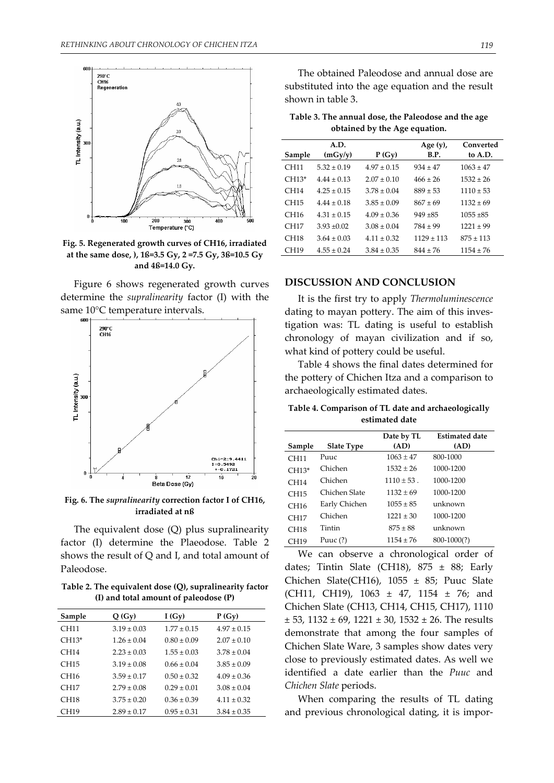

**Fig. 5. Regenerated growth curves of CH16, irradiated at the same dose, ), 1ß=3.5 Gy, 2 =7.5 Gy, 3ß=10.5 Gy and 4ß=14.0 Gy.**

Figure 6 shows regenerated growth curves determine the *supralinearity* factor (I) with the same 10°C temperature intervals.



**Fig. 6. The** *supralinearity* **correction factor I of CH16, irradiated at nß**

The equivalent dose (Q) plus supralinearity factor (I) determine the Plaeodose. Table 2 shows the result of Q and I, and total amount of Paleodose.

**Table 2. The equivalent dose (Q), supralinearity factor (I) and total amount of paleodose (P)** 

| Sample           | Q(Gy)           | I(Gy)           | $P(G_V)$        |
|------------------|-----------------|-----------------|-----------------|
| CH11             | $319 + 003$     | $177 + 015$     | $497 + 015$     |
| $CH13*$          | $1, 26 + 0, 04$ | $0.80 + 0.09$   | $2.07 \pm 0.10$ |
| CH14             | $2.23 \pm 0.03$ | $1.55 \pm 0.03$ | $3.78 \pm 0.04$ |
| CH15             | $3.19 \pm 0.08$ | $0.66 + 0.04$   | $3.85 \pm 0.09$ |
| CH <sub>16</sub> | $3.59 \pm 0.17$ | $0.50 + 0.32$   | $4.09 \pm 0.36$ |
| CH17             | $2.79 \pm 0.08$ | $0.29 + 0.01$   | $3.08 \pm 0.04$ |
| CH18             | $3.75 \pm 0.20$ | $0.36 + 0.39$   | $4.11 \pm 0.32$ |
| CH <sub>19</sub> | $2.89 \pm 0.17$ | $0.95 \pm 0.31$ | $3.84 \pm 0.35$ |

The obtained Paleodose and annual dose are substituted into the age equation and the result shown in table 3.

| Table 3. The annual dose, the Paleodose and the age |  |
|-----------------------------------------------------|--|
| obtained by the Age equation.                       |  |

| Sample           | A.D.<br>(mGy/y) | P(Gy)           | Age $(y)$ ,<br>B.P. | Converted<br>to A.D. |
|------------------|-----------------|-----------------|---------------------|----------------------|
| CH11             | $5.32 + 0.19$   | $497 + 015$     | $934 + 47$          | $1063 \pm 47$        |
| $CH13*$          | $444 + 013$     | $2.07 + 0.10$   | $466 + 26$          | $1532 \pm 26$        |
| CH14             | $425 + 015$     | $.378 + 0.04$   | $889 \pm 53$        | $1110 \pm 53$        |
| CH15             | $444 + 018$     | $3.85 + 0.09$   | $867 + 69$          | $1132 \pm 69$        |
| CH16             | $4.31 + 0.15$   | $4.09 \pm 0.36$ | $949 + 85$          | $1055 \pm 85$        |
| CH17             | $3.93 \pm 0.02$ | $3.08 + 0.04$   | $784 \pm 99$        | $1221 \pm 99$        |
| CH <sub>18</sub> | $3.64 + 0.03$   | $411 + 032$     | $1129 \pm 113$      | $875 \pm 113$        |
| CH <sub>19</sub> | $4.55 \pm 0.24$ | $3.84 \pm 0.35$ | $844 \pm 76$        | $1154 \pm 76$        |

## **DISCUSSION AND CONCLUSION**

It is the first try to apply *Thermoluminescence* dating to mayan pottery. The aim of this inves‐ tigation was: TL dating is useful to establish chronology of mayan civilization and if so, what kind of pottery could be useful.

Table 4 shows the final dates determined for the pottery of Chichen Itza and a comparison to archaeologically estimated dates.

**Table 4. Comparison of TL date and archaeologically estimated date**

|                  |                   | Date by TL    | <b>Estimated date</b> |
|------------------|-------------------|---------------|-----------------------|
| Sample           | <b>Slate Type</b> | (AD)          | (AD)                  |
| <b>CH11</b>      | Puuc              | $1063 + 47$   | 800-1000              |
| $CH13*$          | Chichen           | $1532 + 26$   | 1000-1200             |
| CH14             | Chichen           | $1110 + 53$ . | 1000-1200             |
| CH15             | Chichen Slate     | $1132 + 69$   | 1000-1200             |
| CH <sub>16</sub> | Early Chichen     | $1055 \pm 85$ | unknown               |
| CH17             | Chichen           | $1221 \pm 30$ | 1000-1200             |
| CH18             | Tintin            | $875 \pm 88$  | unknown               |
| CH19             | Puuc (?)          | $1154 \pm 76$ | $800-1000(?)$         |

We can observe a chronological order of dates; Tintin Slate (CH18),  $875 \pm 88$ ; Early Chichen Slate(CH16), 1055 ± 85; Puuc Slate (CH11, CH19), 1063 ± 47, 1154 ± 76; and Chichen Slate (CH13, CH14, CH15, CH17), 1110  $± 53, 1132 ± 69, 1221 ± 30, 1532 ± 26$ . The results demonstrate that among the four samples of Chichen Slate Ware, 3 samples show dates very close to previously estimated dates. As well we identified a date earlier than the *Puuc* and *Chichen Slate* periods.

When comparing the results of TL dating and previous chronological dating, it is impor‐